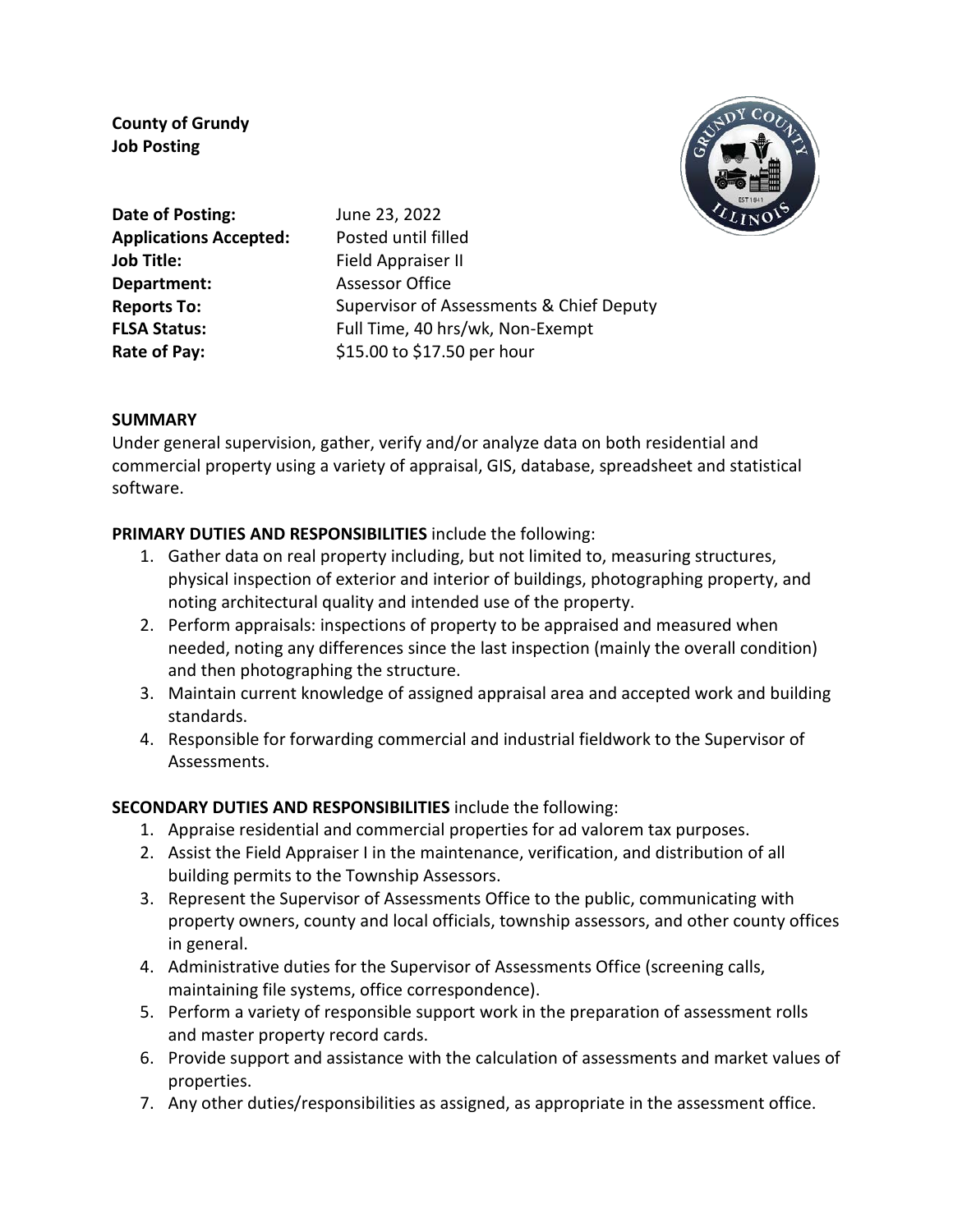**County of Grundy Job Posting**

**Date of Posting: Applications Accepted: Job Title: Department: Reports To: FLSA Status: Rate of Pay:** 

June 23, 2022 Posted until filled Field Appraiser II Assessor Office Supervisor of Assessments & Chief Deputy Full Time, 40 hrs/wk, Non-Exempt \$15.00 to \$17.50 per hour



## **SUMMARY**

Under general supervision, gather, verify and/or analyze data on both residential and commercial property using a variety of appraisal, GIS, database, spreadsheet and statistical software.

## **PRIMARY DUTIES AND RESPONSIBILITIES** include the following:

- 1. Gather data on real property including, but not limited to, measuring structures, physical inspection of exterior and interior of buildings, photographing property, and noting architectural quality and intended use of the property.
- 2. Perform appraisals: inspections of property to be appraised and measured when needed, noting any differences since the last inspection (mainly the overall condition) and then photographing the structure.
- 3. Maintain current knowledge of assigned appraisal area and accepted work and building standards.
- 4. Responsible for forwarding commercial and industrial fieldwork to the Supervisor of Assessments.

# **SECONDARY DUTIES AND RESPONSIBILITIES** include the following:

- 1. Appraise residential and commercial properties for ad valorem tax purposes.
- 2. Assist the Field Appraiser I in the maintenance, verification, and distribution of all building permits to the Township Assessors.
- 3. Represent the Supervisor of Assessments Office to the public, communicating with property owners, county and local officials, township assessors, and other county offices in general.
- 4. Administrative duties for the Supervisor of Assessments Office (screening calls, maintaining file systems, office correspondence).
- 5. Perform a variety of responsible support work in the preparation of assessment rolls and master property record cards.
- 6. Provide support and assistance with the calculation of assessments and market values of properties.
- 7. Any other duties/responsibilities as assigned, as appropriate in the assessment office.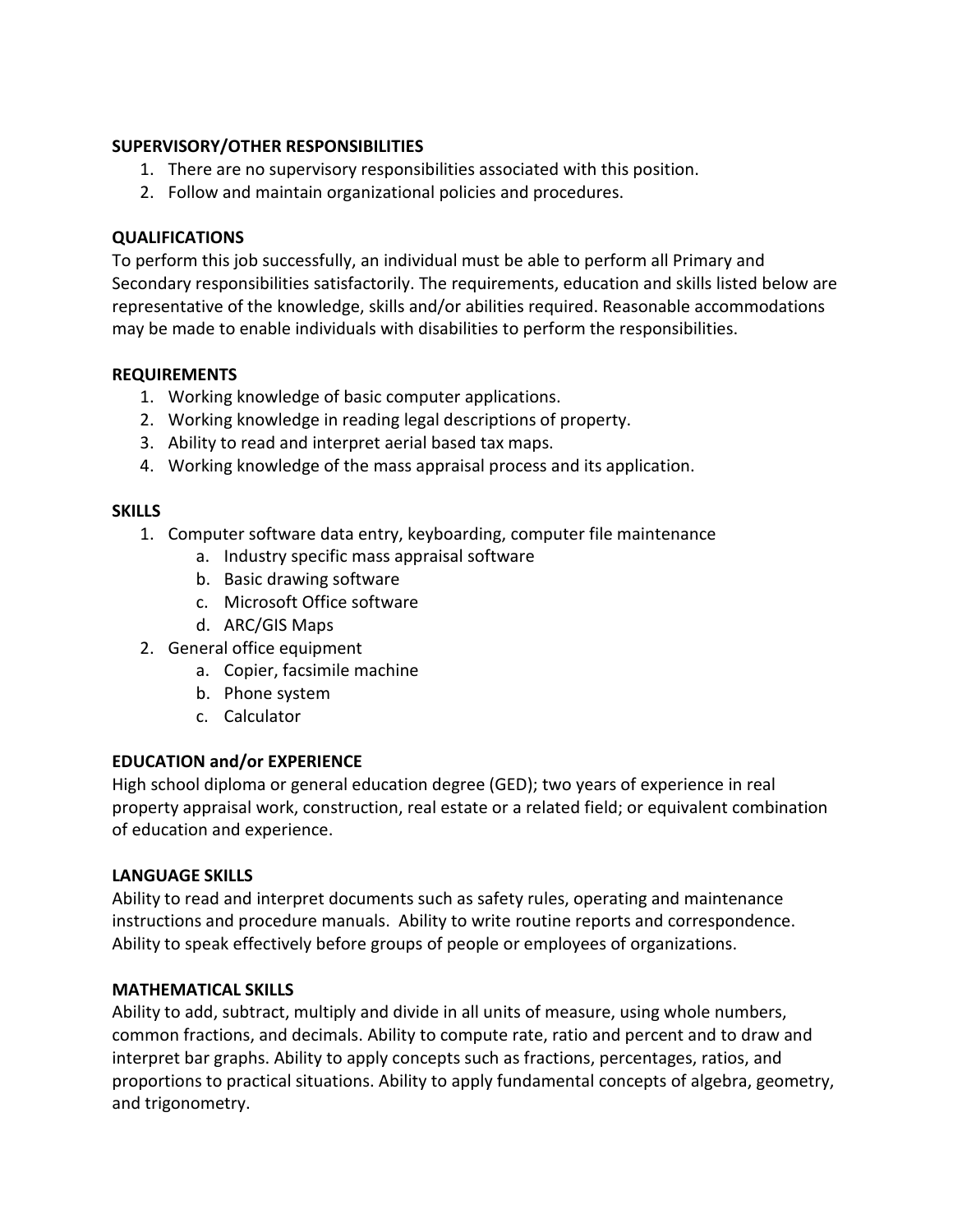## **SUPERVISORY/OTHER RESPONSIBILITIES**

- 1. There are no supervisory responsibilities associated with this position.
- 2. Follow and maintain organizational policies and procedures.

### **QUALIFICATIONS**

To perform this job successfully, an individual must be able to perform all Primary and Secondary responsibilities satisfactorily. The requirements, education and skills listed below are representative of the knowledge, skills and/or abilities required. Reasonable accommodations may be made to enable individuals with disabilities to perform the responsibilities.

#### **REQUIREMENTS**

- 1. Working knowledge of basic computer applications.
- 2. Working knowledge in reading legal descriptions of property.
- 3. Ability to read and interpret aerial based tax maps.
- 4. Working knowledge of the mass appraisal process and its application.

#### **SKILLS**

- 1. Computer software data entry, keyboarding, computer file maintenance
	- a. Industry specific mass appraisal software
	- b. Basic drawing software
	- c. Microsoft Office software
	- d. ARC/GIS Maps
- 2. General office equipment
	- a. Copier, facsimile machine
	- b. Phone system
	- c. Calculator

#### **EDUCATION and/or EXPERIENCE**

High school diploma or general education degree (GED); two years of experience in real property appraisal work, construction, real estate or a related field; or equivalent combination of education and experience.

#### **LANGUAGE SKILLS**

Ability to read and interpret documents such as safety rules, operating and maintenance instructions and procedure manuals. Ability to write routine reports and correspondence. Ability to speak effectively before groups of people or employees of organizations.

#### **MATHEMATICAL SKILLS**

Ability to add, subtract, multiply and divide in all units of measure, using whole numbers, common fractions, and decimals. Ability to compute rate, ratio and percent and to draw and interpret bar graphs. Ability to apply concepts such as fractions, percentages, ratios, and proportions to practical situations. Ability to apply fundamental concepts of algebra, geometry, and trigonometry.